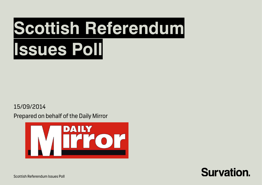# **Scottish Referendum Issues Poll**

15/09/2014

Prepared on behalf of the Daily Mirror





Scottish Referendum Issues Poll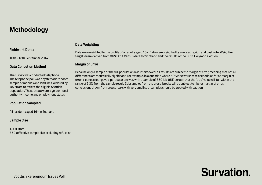### **Methodology**

### Fieldwork Dates

10th - 12th September 2014

### Data Collection Method

The survey was conducted telephone. The telephone poll was a systematic random sample of mobiles and landlines, ordered by key strata to reflect the eligible Scottish population. These strata were, age, sex, local authority, income and employment status.

### Population Sampled

All residents aged 16+ in Scotland

### Sample Size

1,001 (total) 860 (effective sample size excluding refusals)

### Data Weighting

Data were weighted to the profile of all adults aged 16+. Data were weighted by age, sex, region and past vote. Weighting targets were derived from ONS 2011 Census data for Scotland and the results of the 2011 Holyrood election.

### Margin of Error

Because only a sample of the full population was interviewed, all results are subject to margin of error, meaning that not all differences are statistically significant. For example, in a question where 50% (the worst case scenario as far as margin of error is concerned) gave a particular answer, with a sample of 860 it is 95% certain that the 'true' value will fall within the range of 3.3% from the sample result. Subsamples from the cross-breaks will be subject to higher margin of error, conclusions drawn from crossbreaks with very small sub-samples should be treated with caution.

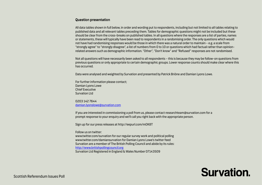### Question presentation

All data tables shown in full below, in order and wording put to respondents, including but not limited to all tables relating to published data and all relevant tables preceding them. Tables for demographic questions might not be included but these should be clear from the cross-breaks on published tables. In all questions where the responses are a list of parties, names or statements, these will typically have been read to respondents in a randomising order. The only questions which would not have had randomising responses would be those in which there was a natural order to maintain – e.g. a scale from "strongly agree" to "strongly disagree", a list of numbers from 0 to 10 or questions which had factual rather than opinionrelated answers such as demographic information. "Other", "Don't know" and "Refused" responses are not randomised.

Not all questions will have necessarily been asked to all respondents – this is because they may be follow-on questions from previous questions or only appropriate to certain demographic groups. Lower response counts should make clear where this has occurred.

Data were analysed and weighted by Survation and presented by Patrick Briône and Damian Lyons Lowe.

For further information please contact; Damian Lyons Lowe Chief Executive Survation Ltd

0203 142 7644 [damian.lyonslowe@survation.com](mailto:damian.lyonslowe@survation.com)

If you are interested in commissioning a poll from us, please contact researchteam@survation.com for a prompt response to your enquiry and we'll call you right back with the appropriate person.

Sign up for our press releases at http://eepurl.com/mOK8T

Follow us on twitter:

www.twitter.com/survation for our regular survey work and political polling www.twitter.com/damiansurvation for Damian Lyons Lowe's twitter feed Survation are a member of The British Polling Council and abide by its rules: [http://www.britishpollingcouncil.org](http://www.britishpollingcouncil.org/) Survation Ltd Registered in England & Wales Number 07143509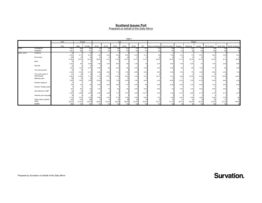Prepared on behalf of the Daily Mirror

|             |                                  |       |            |            |       |       |       | Table 1 |       |       |        |                                   |         |           |         |              |       |                           |  |
|-------------|----------------------------------|-------|------------|------------|-------|-------|-------|---------|-------|-------|--------|-----------------------------------|---------|-----------|---------|--------------|-------|---------------------------|--|
|             |                                  | Total | Gender     |            |       |       | Age   |         |       |       | Region |                                   |         |           |         |              |       |                           |  |
|             |                                  | Total | Male       | Female     | 16-24 | 25-34 | 35-44 | 45-54   | 55-64 | $65+$ |        | West of Scotland Central Scotland | Glasgow | Highlands | Lothian | Mid Scotland |       | North East South Scotland |  |
| Totals      | Unweighted                       | 1001  | 569        | 432        | 6.    | 146   | 195   | 212     | 170   | 211   | 101    | 124                               | 117     | 121       | 174     | 130          | 120   | 114                       |  |
|             | Weighted                         | 1001  | 490        | 511        | 177   | 157   | 174   | 176     | 140   | 176   | 122    | 147                               | 116     |           | 158     | 120          | 149   | 94                        |  |
| var24 noref | Currency                         | 19    |            | 10         |       |       |       |         |       |       |        |                                   |         |           |         |              |       |                           |  |
|             |                                  | 2.2%  | 2.1%       | 2.3%       | 1.2%  | 2.2%  | 2.5%  | 2.0%    | 2.2%  | 3.1%  | .9%    | 1.9%                              | 1.3%    | .7%       | 2.0%    | 3.8%         | 3.2%  | 3.5%                      |  |
|             | Economics                        | 128   | 64         | 64         | 41    |       |       | 24      | 15    |       | 23     | 23                                | 10      |           | 20      | 14           |       |                           |  |
|             |                                  | 14.9% | 15.4%      | 14.4%      | 26.9% | 11.3% | 11.5% | 15.7%   | 12.7% | 10.1% | 22.5%  | 19.3%                             | 11.1%   | 15.3%     | 14.7%   | 13.2%        | 8.1%  | 15.8%                     |  |
|             | <b>NHS</b>                       |       |            | 17         |       |       |       |         |       |       |        |                                   |         |           |         |              |       |                           |  |
|             |                                  | 2.2%  | .5%        | 3.8%       | 1.5%  | 3.3%  | 6.0%  | .6%     | 1.0%  | .7%   | 3.2%   | 0.0%                              | 1.4%    | 4.2%      | .7%     | 1.0%         | 2.5%  | 6.8%                      |  |
|             | Security                         |       |            | 10         |       |       |       |         |       |       |        |                                   |         |           |         |              |       |                           |  |
|             |                                  | 1.8%  | 1.4%       | 2.3%       | 0.0%  | .8%   | 2.5%  | .9%     | 4.0%  | 3.2%  | 2.4%   | 2.6%                              | .9%     | .8%       | 1.0%    | 4.1%         | .6%   | 2.5%                      |  |
|             | <b>Tory Government</b>           |       |            |            |       |       |       |         |       |       |        |                                   |         |           |         |              |       |                           |  |
|             |                                  | 2.2%  | 2.4%       | 2.1%       | 2.2%  | 2.9%  | 1.1%  | 1.4%    | 6.8%  | 0.0%  | 0.0%   | 5.4%                              | 1.0%    | .7%       | 3.2%    | 2.6%         | 2.4%  | 1.2%                      |  |
|             | Too much power in<br>Westminster | 81    | 50         | 32         | -12   | 15    |       |         |       |       |        |                                   |         |           |         |              |       |                           |  |
|             |                                  | 9.4%  | 11.8%      | 7.1%       | 8.1%  | 11.0% | 11.4% | 9.5%    | 7.6%  | 8.7%  | 10.1%  | 5.7%                              | 3.9%    | 13.5%     | 8.3%    | 13.7%        | 10.9% | 10.2%                     |  |
|             | National pride                   | 68    | 33<br>7.9% | 35<br>7.9% |       |       |       | 6.3%    |       | 9.4%  |        |                                   | 11.5%   | 7.5%      |         |              |       | 4.2%                      |  |
|             |                                  | 7.9%  |            |            | 10.5% | 6.2%  | 7.3%  |         | 7.6%  |       | 4.3%   | 10.8%                             |         |           | 11.2%   | 5.5%         | 6.8%  |                           |  |
|             | Nuclear weapons                  | .3%   | .3%        | .3%        | 0.0%  | 0.0%  | 0.0%  | 1.1%    | 0.0%  | .6%   | 0.0%   | 0.0%                              | 0.0%    | 1.3%      | 0.0%    | 1.2%         | 0.0%  | 0.0%                      |  |
|             | Europe / foreign policy          |       |            |            |       |       |       |         |       |       |        |                                   |         |           |         |              |       |                           |  |
|             |                                  | .5%   | .8%        | .2%        | 1.2%  | .7%   | .6%   | .5%     | 0.0%  | 0.0%  | 0.0%   | .7%                               | 1.9%    | 1.4%      | 0.0%    | 0.0%         | 0.0%  | .7%                       |  |
|             | Alex Salmond / SNP               | 30    |            |            |       |       |       |         |       |       |        |                                   |         |           |         |              |       |                           |  |
|             |                                  | 3.5%  | 3.8%       | 3.3%       | 0.0%  | 3.9%  | 1.1%  | 2.7%    | 3.6%  | 10.1% | 3.4%   | 1.0%                              | 9.1%    | 2.8%      | 2.1%    | 4.1%         | 2.1%  | 5.7%                      |  |
|             | Fairness and inequality          | 18    |            |            |       |       |       |         |       |       |        |                                   |         |           |         |              |       |                           |  |
|             |                                  | 2.1%  | 2.2%       | 1.9%       | 0.0%  | 4.4%  | 3.1%  | 2.9%    | 2.0%  | 0.0%  | 1.2%   | 1.4%                              | 2.2%    | 1.9%      | 2.8%    | 3.4%         | 2.2%  | .9%                       |  |
|             | Other reason (please             | 455   | 215        | 240        | 73    | 74    |       | 86      | 63    |       | 54     | 6                                 | 51      |           | 75      | 50           | 81    |                           |  |
|             | state)                           | 53.0% | 51.4%      | 54.5%      | 48.5% | 53.3% | 52.9% | 56.6%   | 52.3% | 54.0% | 52.1%  | 51.1%                             | 55.7%   | 50.0%     | 54.2%   | 47.5%        | 61.2% | 48.5%                     |  |
|             | <b>SIGMA</b>                     | 860   | 419        | 441        | 151   | 140   | 153   | 152     | 120   | 145   | 103    | 120                               | 92      | я.        | 138     | 106          | 132   | 85                        |  |

Prepared by Survation on behalf of the Daily Mirror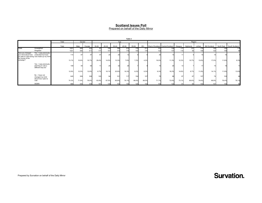Prepared on behalf of the Daily Mirror

|                                                                           |                                                                                             |       |       |        |       |         |       | Table 2 |       |       |                |                                   |         |           |         |              |            |                |  |
|---------------------------------------------------------------------------|---------------------------------------------------------------------------------------------|-------|-------|--------|-------|---------|-------|---------|-------|-------|----------------|-----------------------------------|---------|-----------|---------|--------------|------------|----------------|--|
|                                                                           |                                                                                             | Total |       | Gender |       |         | Age   |         |       |       | Region         |                                   |         |           |         |              |            |                |  |
|                                                                           |                                                                                             | Total | Male  | Female | 16-24 | 25-34   | 35-44 | 45-54   | 55-64 | $65+$ |                | West of Scotland Central Scotland | Glasgow | Highlands | Lothian | Mid Scotland | North East | South Scotland |  |
| Totals                                                                    | Unweighted                                                                                  | 1001  | 569   | 432    | 67    | 146     | 195   | 212     | 170   | 211   | 101            | 124                               | 117     | 121       | 174     | 130          | 120        |                |  |
|                                                                           | Weighted                                                                                    | 1001  | 490   | 511    | 17.   | 157     | 174   | 176     | 140   | 176   | 122            | 147                               | 116     |           |         | 120          | 149        |                |  |
| Have you changed<br>your mind about how<br>the course of the<br>campaign? | Yes - I was previously<br>undecided but have<br>you plan to vote during now made up my mind | 114   |       |        |       |         |       |         |       |       |                |                                   |         |           |         |              |            |                |  |
|                                                                           |                                                                                             | 13.1% | 15.6% | 10.7%  | 29.4% | 14.5%   | 13.3% | 7.6%    | 7.2%  | 4.2%  | 19.0%          | 11.3%                             | 12.3%   | 10.7%     | 13.6%   | 17.0%        | 11.8%      | 8.3%           |  |
|                                                                           | Yes - I was previously<br>planning to vote a<br>different way but                           | 109   |       |        |       | 25      |       |         |       |       |                |                                   |         |           |         |              |            |                |  |
|                                                                           |                                                                                             | 12.6% | 12.5% | 12.6%  | 6.7%  | 18.1%   | 20.9% | 16.3%   | 6.2%  | 6.3%  | 9.3%           | 16.2%                             | 14.6%   | 8.7%      | 11.8%   | 14.1%        | 11.9%      | 13.6%          |  |
|                                                                           | No - I have not<br>changed my mind<br>about how I plan to                                   | 645   | 309   | 336    | 103   | $Q_{A}$ | 101   | 117     | 104   | 127   | 7 <sub>c</sub> | 89                                | 6       | 67        | 107     | 74           | 103        |                |  |
|                                                                           | vote                                                                                        | 74.3% | 71.9% | 76.6%  | 63.9% | 67.5%   | 65.8% | 76.1%   | 86.6% | 89.5% | 71.7%          | 72.6%                             | 73.1%   | 80.6%     | 74.6%   | 68.9%        | 76.4%      | 78.1%          |  |
|                                                                           | <b>SIGMA</b>                                                                                | 868   |       | 438    | 16'   | 139     | 153   | 154     | 120   | 142   | 105            | 122                               |         |           | 143     | 107          | 135        | 82             |  |

Prepared by Survation on behalf of the Daily Mirror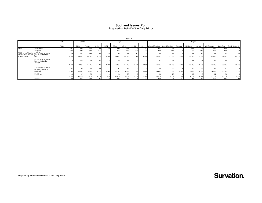Prepared on behalf of the Daily Mirror

|                       |                                                                       |       |        |        |       |       |       | Table 3 |       |       |        |                                             |       |           |                 |              |       |                           |  |
|-----------------------|-----------------------------------------------------------------------|-------|--------|--------|-------|-------|-------|---------|-------|-------|--------|---------------------------------------------|-------|-----------|-----------------|--------------|-------|---------------------------|--|
|                       |                                                                       | Total | Gender |        |       |       | Age   |         |       |       | Region |                                             |       |           |                 |              |       |                           |  |
|                       |                                                                       |       |        |        |       |       |       |         |       |       |        |                                             |       |           |                 |              |       |                           |  |
|                       |                                                                       | Total | Male   | Female | 16-24 | 25-34 | 35-44 | 45-54   | 55-64 | $65+$ |        | West of Scotland Central Scotland   Glasgow |       | Highlands | Lothian         | Mid Scotland |       | North East South Scotland |  |
| Totals                | Unweighted                                                            | 1001  | 569    | 432    | 67    | 146   | 195   | 212     | 170   | 211   | 101    | 124                                         | 117   | 121       | 174             | 130          | 120   |                           |  |
|                       | Weighted                                                              | 1001  |        | 511    |       | 157   | 174   | 176     | 140   | 176   | 122    | 147                                         | 116   |           |                 | 120          | 149   |                           |  |
| statements is closest | Which of the following A "Yes" vote will mean<br>jobs in Scotland are | 346   | 161    | 184    |       |       |       |         |       |       |        |                                             |       |           |                 |              |       |                           |  |
| to your opinion?      | lost                                                                  | 39.9% | 38.1%  | 41.7%  | 35.7% | 35.7% | 34.6% | 40.1%   | 51.9% | 44.5% | 38.2%  | 37.5%                                       | 42.19 | 33.7%     | 42.6%           | 43.0%        | 31.3% | 54.7%                     |  |
|                       | A "Yes" vote will mean<br>jobs in Scotland are<br>created             | 225   |        |        |       |       |       |         |       |       |        |                                             |       |           |                 |              |       |                           |  |
|                       |                                                                       | 26.0% | 29.8%  | 22.4%  | 27.9% | 26.7% | 29.8% | 27.5%   | 22.5% | 20.5% | 25.3%  | 29.8%                                       | 18.8% | 28.7%     | 26.7%           | 25.3%        | 33.3% | 15.0%                     |  |
|                       | A "Yes" vote will have<br>no effect on jobs in                        | 167   |        |        |       |       |       |         |       |       |        |                                             |       |           |                 |              |       |                           |  |
|                       | Scotland                                                              | 19.2% | 21.0%  | 17.5%  | 29.7% | 23.8% | 20.2% | 15.0%   | 12.4% | 12.3% | 18.6%  | 13.6%                                       | 26.4% | 19.9%     | 20.2%           | 18.5%        | 20.3% | 17.3%                     |  |
|                       | Dont know                                                             | 128   |        |        |       |       |       |         |       |       |        | 23                                          |       |           |                 |              |       |                           |  |
|                       |                                                                       | 14.8% | 11.1%  | 18.4%  | 6.7%  | 13.8% | 15.4% | 17.4%   | 13.1% | 22.7% | 17.9%  | 19.1%                                       | 12.8% | 17.7%     | 10.5%           | 13.1%        | 15.1% | 13.0%                     |  |
|                       | <b>SIGMA</b>                                                          | 866   | 423    | 442    |       | 140   | 153   | 152     | 118   | 144   | 105    | 121                                         |       |           | 14 <sup>′</sup> | 107          | 13    |                           |  |

Prepared by Survation on behalf of the Daily Mirror